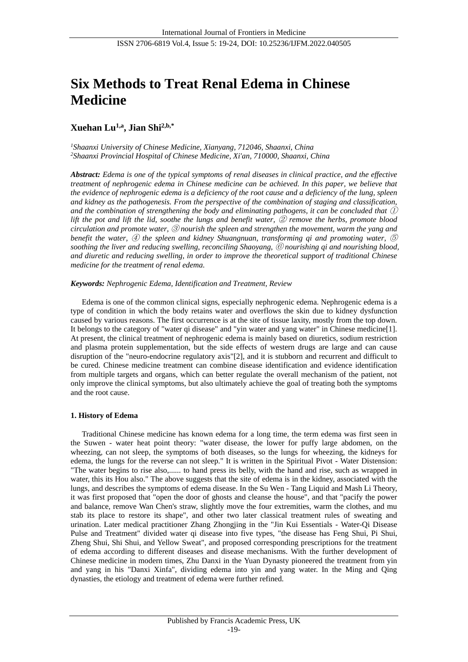# **Six Methods to Treat Renal Edema in Chinese Medicine**

# **Xuehan Lu1,a , Jian Shi2,b,\***

*<sup>1</sup>Shaanxi University of Chinese Medicine, Xianyang, 712046, Shaanxi, China <sup>2</sup>Shaanxi Provincial Hospital of Chinese Medicine, Xi'an, 710000, Shaanxi, China*

*Abstract: Edema is one of the typical symptoms of renal diseases in clinical practice, and the effective treatment of nephrogenic edema in Chinese medicine can be achieved. In this paper, we believe that the evidence of nephrogenic edema is a deficiency of the root cause and a deficiency of the lung, spleen and kidney as the pathogenesis. From the perspective of the combination of staging and classification, and the combination of strengthening the body and eliminating pathogens, it can be concluded that* ① *lift the pot and lift the lid, soothe the lungs and benefit water,* ② *remove the herbs, promote blood circulation and promote water,* ③ *nourish the spleen and strengthen the movement, warm the yang and benefit the water,* ④ *the spleen and kidney Shuangnuan, transforming qi and promoting water,* ⑤ *soothing the liver and reducing swelling, reconciling Shaoyang,* ⑥ *nourishing qi and nourishing blood, and diuretic and reducing swelling, in order to improve the theoretical support of traditional Chinese medicine for the treatment of renal edema.*

# *Keywords: Nephrogenic Edema, Identification and Treatment, Review*

Edema is one of the common clinical signs, especially nephrogenic edema. Nephrogenic edema is a type of condition in which the body retains water and overflows the skin due to kidney dysfunction caused by various reasons. The first occurrence is at the site of tissue laxity, mostly from the top down. It belongs to the category of "water qi disease" and "yin water and yang water" in Chinese medicine[1]. At present, the clinical treatment of nephrogenic edema is mainly based on diuretics, sodium restriction and plasma protein supplementation, but the side effects of western drugs are large and can cause disruption of the "neuro-endocrine regulatory axis"[2], and it is stubborn and recurrent and difficult to be cured. Chinese medicine treatment can combine disease identification and evidence identification from multiple targets and organs, which can better regulate the overall mechanism of the patient, not only improve the clinical symptoms, but also ultimately achieve the goal of treating both the symptoms and the root cause.

# **1. History of Edema**

Traditional Chinese medicine has known edema for a long time, the term edema was first seen in the Suwen - water heat point theory: "water disease, the lower for puffy large abdomen, on the wheezing, can not sleep, the symptoms of both diseases, so the lungs for wheezing, the kidneys for edema, the lungs for the reverse can not sleep." It is written in the Spiritual Pivot - Water Distension: "The water begins to rise also,...... to hand press its belly, with the hand and rise, such as wrapped in water, this its Hou also." The above suggests that the site of edema is in the kidney, associated with the lungs, and describes the symptoms of edema disease. In the Su Wen - Tang Liquid and Mash Li Theory, it was first proposed that "open the door of ghosts and cleanse the house", and that "pacify the power and balance, remove Wan Chen's straw, slightly move the four extremities, warm the clothes, and mu stab its place to restore its shape", and other two later classical treatment rules of sweating and urination. Later medical practitioner Zhang Zhongjing in the "Jin Kui Essentials - Water-Qi Disease Pulse and Treatment" divided water qi disease into five types, "the disease has Feng Shui, Pi Shui, Zheng Shui, Shi Shui, and Yellow Sweat", and proposed corresponding prescriptions for the treatment of edema according to different diseases and disease mechanisms. With the further development of Chinese medicine in modern times, Zhu Danxi in the Yuan Dynasty pioneered the treatment from yin and yang in his "Danxi Xinfa", dividing edema into yin and yang water. In the Ming and Qing dynasties, the etiology and treatment of edema were further refined.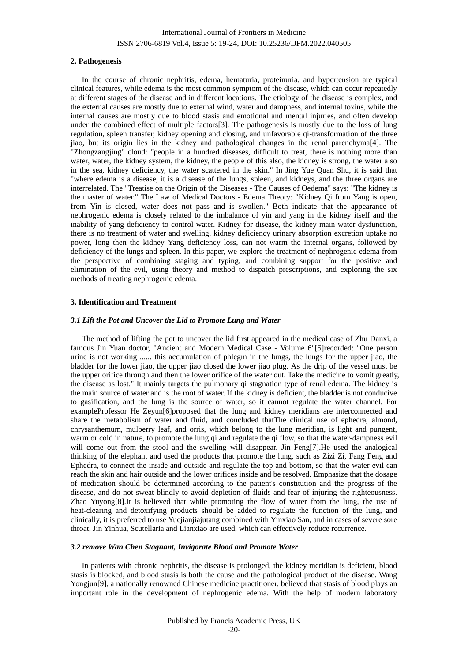### **2. Pathogenesis**

In the course of chronic nephritis, edema, hematuria, proteinuria, and hypertension are typical clinical features, while edema is the most common symptom of the disease, which can occur repeatedly at different stages of the disease and in different locations. The etiology of the disease is complex, and the external causes are mostly due to external wind, water and dampness, and internal toxins, while the internal causes are mostly due to blood stasis and emotional and mental injuries, and often develop under the combined effect of multiple factors[3]. The pathogenesis is mostly due to the loss of lung regulation, spleen transfer, kidney opening and closing, and unfavorable qi-transformation of the three jiao, but its origin lies in the kidney and pathological changes in the renal parenchyma[4]. The "Zhongzangjing" cloud: "people in a hundred diseases, difficult to treat, there is nothing more than water, water, the kidney system, the kidney, the people of this also, the kidney is strong, the water also in the sea, kidney deficiency, the water scattered in the skin." In Jing Yue Quan Shu, it is said that "where edema is a disease, it is a disease of the lungs, spleen, and kidneys, and the three organs are interrelated. The "Treatise on the Origin of the Diseases - The Causes of Oedema" says: "The kidney is the master of water." The Law of Medical Doctors - Edema Theory: "Kidney Qi from Yang is open, from Yin is closed, water does not pass and is swollen." Both indicate that the appearance of nephrogenic edema is closely related to the imbalance of yin and yang in the kidney itself and the inability of yang deficiency to control water. Kidney for disease, the kidney main water dysfunction, there is no treatment of water and swelling, kidney deficiency urinary absorption excretion uptake no power, long then the kidney Yang deficiency loss, can not warm the internal organs, followed by deficiency of the lungs and spleen. In this paper, we explore the treatment of nephrogenic edema from the perspective of combining staging and typing, and combining support for the positive and elimination of the evil, using theory and method to dispatch prescriptions, and exploring the six methods of treating nephrogenic edema.

### **3. Identification and Treatment**

### *3.1 Lift the Pot and Uncover the Lid to Promote Lung and Water*

The method of lifting the pot to uncover the lid first appeared in the medical case of Zhu Danxi, a famous Jin Yuan doctor, "Ancient and Modern Medical Case - Volume 6"[5]recorded: "One person urine is not working ...... this accumulation of phlegm in the lungs, the lungs for the upper jiao, the bladder for the lower jiao, the upper jiao closed the lower jiao plug. As the drip of the vessel must be the upper orifice through and then the lower orifice of the water out. Take the medicine to vomit greatly, the disease as lost." It mainly targets the pulmonary qi stagnation type of renal edema. The kidney is the main source of water and is the root of water. If the kidney is deficient, the bladder is not conducive to gasification, and the lung is the source of water, so it cannot regulate the water channel. For exampleProfessor He Zeyun[6]proposed that the lung and kidney meridians are interconnected and share the metabolism of water and fluid, and concluded thatThe clinical use of ephedra, almond, chrysanthemum, mulberry leaf, and orris, which belong to the lung meridian, is light and pungent, warm or cold in nature, to promote the lung qi and regulate the qi flow, so that the water-dampness evil will come out from the stool and the swelling will disappear. Jin Feng[7].He used the analogical thinking of the elephant and used the products that promote the lung, such as Zizi Zi, Fang Feng and Ephedra, to connect the inside and outside and regulate the top and bottom, so that the water evil can reach the skin and hair outside and the lower orifices inside and be resolved. Emphasize that the dosage of medication should be determined according to the patient's constitution and the progress of the disease, and do not sweat blindly to avoid depletion of fluids and fear of injuring the righteousness. Zhao Yuyong[8].It is believed that while promoting the flow of water from the lung, the use of heat-clearing and detoxifying products should be added to regulate the function of the lung, and clinically, it is preferred to use Yuejianjiajutang combined with Yinxiao San, and in cases of severe sore throat, Jin Yinhua, Scutellaria and Lianxiao are used, which can effectively reduce recurrence.

## *3.2 remove Wan Chen Stagnant, Invigorate Blood and Promote Water*

In patients with chronic nephritis, the disease is prolonged, the kidney meridian is deficient, blood stasis is blocked, and blood stasis is both the cause and the pathological product of the disease. Wang Yongjun[9], a nationally renowned Chinese medicine practitioner, believed that stasis of blood plays an important role in the development of nephrogenic edema. With the help of modern laboratory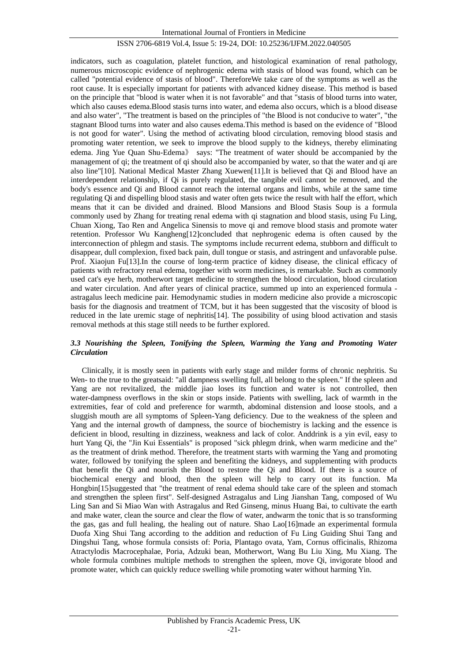indicators, such as coagulation, platelet function, and histological examination of renal pathology, numerous microscopic evidence of nephrogenic edema with stasis of blood was found, which can be called "potential evidence of stasis of blood". ThereforeWe take care of the symptoms as well as the root cause. It is especially important for patients with advanced kidney disease. This method is based on the principle that "blood is water when it is not favorable" and that "stasis of blood turns into water, which also causes edema.Blood stasis turns into water, and edema also occurs, which is a blood disease and also water", "The treatment is based on the principles of "the Blood is not conducive to water", "the stagnant Blood turns into water and also causes edema.This method is based on the evidence of "Blood is not good for water". Using the method of activating blood circulation, removing blood stasis and promoting water retention, we seek to improve the blood supply to the kidneys, thereby eliminating edema. Jing Yue Quan Shu-Edema》 says: "The treatment of water should be accompanied by the management of qi; the treatment of qi should also be accompanied by water, so that the water and qi are also line"[10]. National Medical Master Zhang Xuewen[11].It is believed that Qi and Blood have an interdependent relationship, if Qi is purely regulated, the tangible evil cannot be removed, and the body's essence and Qi and Blood cannot reach the internal organs and limbs, while at the same time regulating Qi and dispelling blood stasis and water often gets twice the result with half the effort, which means that it can be divided and drained. Blood Mansions and Blood Stasis Soup is a formula commonly used by Zhang for treating renal edema with qi stagnation and blood stasis, using Fu Ling, Chuan Xiong, Tao Ren and Angelica Sinensis to move qi and remove blood stasis and promote water retention. Professor Wu Kangheng[12]concluded that nephrogenic edema is often caused by the interconnection of phlegm and stasis. The symptoms include recurrent edema, stubborn and difficult to disappear, dull complexion, fixed back pain, dull tongue or stasis, and astringent and unfavorable pulse. Prof. Xiaojun Fu[13].In the course of long-term practice of kidney disease, the clinical efficacy of patients with refractory renal edema, together with worm medicines, is remarkable. Such as commonly used cat's eye herb, motherwort target medicine to strengthen the blood circulation, blood circulation and water circulation. And after years of clinical practice, summed up into an experienced formula astragalus leech medicine pair. Hemodynamic studies in modern medicine also provide a microscopic basis for the diagnosis and treatment of TCM, but it has been suggested that the viscosity of blood is reduced in the late uremic stage of nephritis[14]. The possibility of using blood activation and stasis removal methods at this stage still needs to be further explored.

# *3.3 Nourishing the Spleen, Tonifying the Spleen, Warming the Yang and Promoting Water Circulation*

Clinically, it is mostly seen in patients with early stage and milder forms of chronic nephritis. Su Wen- to the true to the greatsaid: "all dampness swelling full, all belong to the spleen." If the spleen and Yang are not revitalized, the middle jiao loses its function and water is not controlled, then water-dampness overflows in the skin or stops inside. Patients with swelling, lack of warmth in the extremities, fear of cold and preference for warmth, abdominal distension and loose stools, and a sluggish mouth are all symptoms of Spleen-Yang deficiency. Due to the weakness of the spleen and Yang and the internal growth of dampness, the source of biochemistry is lacking and the essence is deficient in blood, resulting in dizziness, weakness and lack of color. Anddrink is a yin evil, easy to hurt Yang Qi, the "Jin Kui Essentials" is proposed "sick phlegm drink, when warm medicine and the" as the treatment of drink method. Therefore, the treatment starts with warming the Yang and promoting water, followed by tonifying the spleen and benefiting the kidneys, and supplementing with products that benefit the Qi and nourish the Blood to restore the Qi and Blood. If there is a source of biochemical energy and blood, then the spleen will help to carry out its function. Ma Hongbin<sup>[15]</sup>suggested that "the treatment of renal edema should take care of the spleen and stomach and strengthen the spleen first". Self-designed Astragalus and Ling Jianshan Tang, composed of Wu Ling San and Si Miao Wan with Astragalus and Red Ginseng, minus Huang Bai, to cultivate the earth and make water, clean the source and clear the flow of water, andwarm the tonic that is so transforming the gas, gas and full healing, the healing out of nature. Shao Lao[16]made an experimental formula Duofa Xing Shui Tang according to the addition and reduction of Fu Ling Guiding Shui Tang and Dingshui Tang, whose formula consists of: Poria, Plantago ovata, Yam, Cornus officinalis, Rhizoma Atractylodis Macrocephalae, Poria, Adzuki bean, Motherwort, Wang Bu Liu Xing, Mu Xiang. The whole formula combines multiple methods to strengthen the spleen, move Qi, invigorate blood and promote water, which can quickly reduce swelling while promoting water without harming Yin.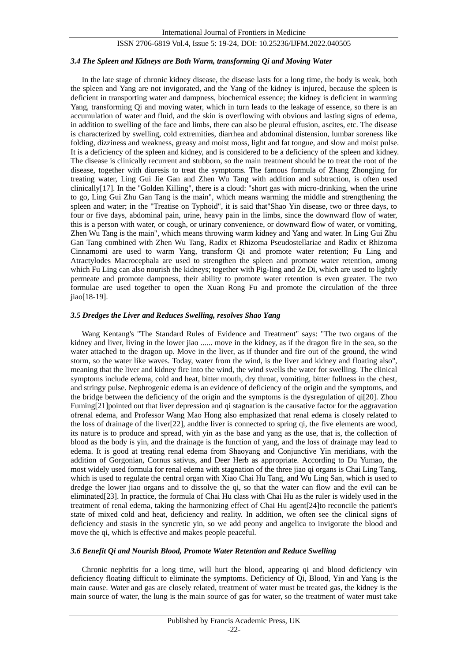### *3.4 The Spleen and Kidneys are Both Warm, transforming Qi and Moving Water*

In the late stage of chronic kidney disease, the disease lasts for a long time, the body is weak, both the spleen and Yang are not invigorated, and the Yang of the kidney is injured, because the spleen is deficient in transporting water and dampness, biochemical essence; the kidney is deficient in warming Yang, transforming Qi and moving water, which in turn leads to the leakage of essence, so there is an accumulation of water and fluid, and the skin is overflowing with obvious and lasting signs of edema, in addition to swelling of the face and limbs, there can also be pleural effusion, ascites, etc. The disease is characterized by swelling, cold extremities, diarrhea and abdominal distension, lumbar soreness like folding, dizziness and weakness, greasy and moist moss, light and fat tongue, and slow and moist pulse. It is a deficiency of the spleen and kidney, and is considered to be a deficiency of the spleen and kidney. The disease is clinically recurrent and stubborn, so the main treatment should be to treat the root of the disease, together with diuresis to treat the symptoms. The famous formula of Zhang Zhongjing for treating water, Ling Gui Jie Gan and Zhen Wu Tang with addition and subtraction, is often used clinically[17]. In the "Golden Killing", there is a cloud: "short gas with micro-drinking, when the urine to go, Ling Gui Zhu Gan Tang is the main", which means warming the middle and strengthening the spleen and water; in the "Treatise on Typhoid", it is said that"Shao Yin disease, two or three days, to four or five days, abdominal pain, urine, heavy pain in the limbs, since the downward flow of water, this is a person with water, or cough, or urinary convenience, or downward flow of water, or vomiting, Zhen Wu Tang is the main", which means throwing warm kidney and Yang and water. In Ling Gui Zhu Gan Tang combined with Zhen Wu Tang, Radix et Rhizoma Pseudostellariae and Radix et Rhizoma Cinnamomi are used to warm Yang, transform Qi and promote water retention; Fu Ling and Atractylodes Macrocephala are used to strengthen the spleen and promote water retention, among which Fu Ling can also nourish the kidneys; together with Pig-ling and Ze Di, which are used to lightly permeate and promote dampness, their ability to promote water retention is even greater. The two formulae are used together to open the Xuan Rong Fu and promote the circulation of the three jiao[18-19].

### *3.5 Dredges the Liver and Reduces Swelling, resolves Shao Yang*

Wang Kentang's "The Standard Rules of Evidence and Treatment" says: "The two organs of the kidney and liver, living in the lower jiao ...... move in the kidney, as if the dragon fire in the sea, so the water attached to the dragon up. Move in the liver, as if thunder and fire out of the ground, the wind storm, so the water like waves. Today, water from the wind, is the liver and kidney and floating also", meaning that the liver and kidney fire into the wind, the wind swells the water for swelling. The clinical symptoms include edema, cold and heat, bitter mouth, dry throat, vomiting, bitter fullness in the chest, and stringy pulse. Nephrogenic edema is an evidence of deficiency of the origin and the symptoms, and the bridge between the deficiency of the origin and the symptoms is the dysregulation of qi[20]. Zhou Fuming[21]pointed out that liver depression and qi stagnation is the causative factor for the aggravation ofrenal edema, and Professor Wang Mao Hong also emphasized that renal edema is closely related to the loss of drainage of the liver[22], andthe liver is connected to spring qi, the five elements are wood, its nature is to produce and spread, with yin as the base and yang as the use, that is, the collection of blood as the body is yin, and the drainage is the function of yang, and the loss of drainage may lead to edema. It is good at treating renal edema from Shaoyang and Conjunctive Yin meridians, with the addition of Gorgonian, Cornus sativus, and Deer Herb as appropriate. According to Du Yumao, the most widely used formula for renal edema with stagnation of the three jiao qi organs is Chai Ling Tang, which is used to regulate the central organ with Xiao Chai Hu Tang, and Wu Ling San, which is used to dredge the lower jiao organs and to dissolve the qi, so that the water can flow and the evil can be eliminated[23]. In practice, the formula of Chai Hu class with Chai Hu as the ruler is widely used in the treatment of renal edema, taking the harmonizing effect of Chai Hu agent[24]to reconcile the patient's state of mixed cold and heat, deficiency and reality. In addition, we often see the clinical signs of deficiency and stasis in the syncretic yin, so we add peony and angelica to invigorate the blood and move the qi, which is effective and makes people peaceful.

#### *3.6 Benefit Qi and Nourish Blood, Promote Water Retention and Reduce Swelling*

Chronic nephritis for a long time, will hurt the blood, appearing qi and blood deficiency win deficiency floating difficult to eliminate the symptoms. Deficiency of Qi, Blood, Yin and Yang is the main cause. Water and gas are closely related, treatment of water must be treated gas, the kidney is the main source of water, the lung is the main source of gas for water, so the treatment of water must take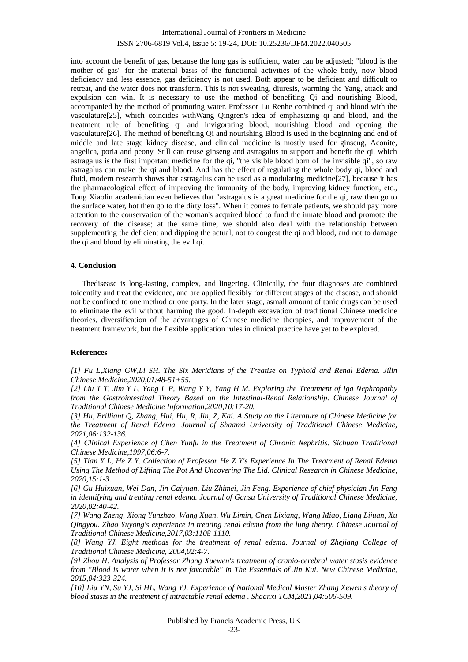into account the benefit of gas, because the lung gas is sufficient, water can be adjusted; "blood is the mother of gas" for the material basis of the functional activities of the whole body, now blood deficiency and less essence, gas deficiency is not used. Both appear to be deficient and difficult to retreat, and the water does not transform. This is not sweating, diuresis, warming the Yang, attack and expulsion can win. It is necessary to use the method of benefiting Qi and nourishing Blood, accompanied by the method of promoting water. Professor Lu Renhe combined qi and blood with the vasculature[25], which coincides withWang Qingren's idea of emphasizing qi and blood, and the treatment rule of benefiting qi and invigorating blood, nourishing blood and opening the vasculature[26]. The method of benefiting Qi and nourishing Blood is used in the beginning and end of middle and late stage kidney disease, and clinical medicine is mostly used for ginseng, Aconite, angelica, poria and peony. Still can reuse ginseng and astragalus to support and benefit the qi, which astragalus is the first important medicine for the qi, "the visible blood born of the invisible qi", so raw astragalus can make the qi and blood. And has the effect of regulating the whole body qi, blood and fluid, modern research shows that astragalus can be used as a modulating medicine[27], because it has the pharmacological effect of improving the immunity of the body, improving kidney function, etc., Tong Xiaolin academician even believes that "astragalus is a great medicine for the qi, raw then go to the surface water, hot then go to the dirty loss". When it comes to female patients, we should pay more attention to the conservation of the woman's acquired blood to fund the innate blood and promote the recovery of the disease; at the same time, we should also deal with the relationship between supplementing the deficient and dipping the actual, not to congest the qi and blood, and not to damage the qi and blood by eliminating the evil qi.

# **4. Conclusion**

Thedisease is long-lasting, complex, and lingering. Clinically, the four diagnoses are combined toidentify and treat the evidence, and are applied flexibly for different stages of the disease, and should not be confined to one method or one party. In the later stage, asmall amount of tonic drugs can be used to eliminate the evil without harming the good. In-depth excavation of traditional Chinese medicine theories, diversification of the advantages of Chinese medicine therapies, and improvement of the treatment framework, but the flexible application rules in clinical practice have yet to be explored.

# **References**

*[1] Fu L,Xiang GW,Li SH. The Six Meridians of the Treatise on Typhoid and Renal Edema. Jilin Chinese Medicine,2020,01:48-51+55.*

*[2] Liu T T, Jim Y L, Yang L P, Wang Y Y, Yang H M. Exploring the Treatment of Iga Nephropathy from the Gastrointestinal Theory Based on the Intestinal-Renal Relationship. Chinese Journal of Traditional Chinese Medicine Information,2020,10:17-20.*

*[3] Hu, Brilliant Q, Zhang, Hui, Hu, R, Jin, Z, Kai. A Study on the Literature of Chinese Medicine for the Treatment of Renal Edema. Journal of Shaanxi University of Traditional Chinese Medicine, 2021,06:132-136.*

*[4] Clinical Experience of Chen Yunfu in the Treatment of Chronic Nephritis. Sichuan Traditional Chinese Medicine,1997,06:6-7.*

*[5] Tian Y L, He Z Y. Collection of Professor He Z Y's Experience In The Treatment of Renal Edema Using The Method of Lifting The Pot And Uncovering The Lid. Clinical Research in Chinese Medicine, 2020,15:1-3.*

*[6] Gu Huixuan, Wei Dan, Jin Caiyuan, Liu Zhimei, Jin Feng. Experience of chief physician Jin Feng in identifying and treating renal edema. Journal of Gansu University of Traditional Chinese Medicine, 2020,02:40-42.*

*[7] Wang Zheng, Xiong Yunzhao, Wang Xuan, Wu Limin, Chen Lixiang, Wang Miao, Liang Lijuan, Xu Qingyou. Zhao Yuyong's experience in treating renal edema from the lung theory. Chinese Journal of Traditional Chinese Medicine,2017,03:1108-1110.*

*[8] Wang YJ. Eight methods for the treatment of renal edema. Journal of Zhejiang College of Traditional Chinese Medicine, 2004,02:4-7.*

*[9] Zhou H. Analysis of Professor Zhang Xuewen's treatment of cranio-cerebral water stasis evidence from "Blood is water when it is not favorable" in The Essentials of Jin Kui. New Chinese Medicine, 2015,04:323-324.*

*[10] Liu YN, Su YJ, Si HL, Wang YJ. Experience of National Medical Master Zhang Xewen's theory of blood stasis in the treatment of intractable renal edema . Shaanxi TCM,2021,04:506-509.*